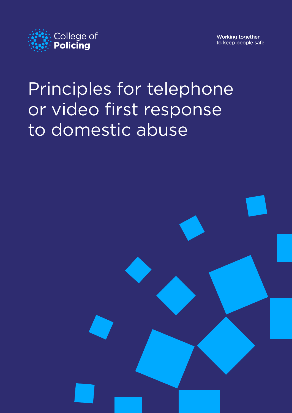

Working together to keep people safe

# Principles for telephone or video first response to domestic abuse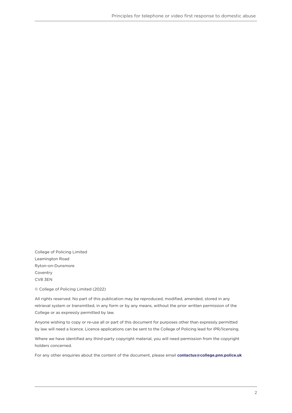College of Policing Limited Leamington Road Ryton-on-Dunsmore Coventry CV8 3EN

© College of Policing Limited (2022)

All rights reserved. No part of this publication may be reproduced, modified, amended, stored in any retrieval system or transmitted, in any form or by any means, without the prior written permission of the College or as expressly permitted by law.

Anyone wishing to copy or re-use all or part of this document for purposes other than expressly permitted by law will need a licence. Licence applications can be sent to the College of Policing lead for IPR/licensing.

Where we have identified any third-party copyright material, you will need permission from the copyright holders concerned.

For any other enquiries about the content of the document, please email **[contactus@college.pnn.police.uk](mailto:contactus%40college.pnn.police.uk?subject=Safer%20Streets%20toolkit)**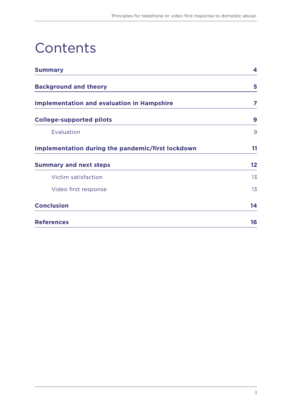## **Contents**

| <b>Summary</b>                                    | 4  |
|---------------------------------------------------|----|
| <b>Background and theory</b>                      | 5  |
| <b>Implementation and evaluation in Hampshire</b> | 7  |
| <b>College-supported pilots</b>                   | 9  |
| Evaluation                                        | 9  |
| Implementation during the pandemic/first lockdown | 11 |
| <b>Summary and next steps</b>                     | 12 |
| Victim satisfaction                               | 13 |
| Video first response                              | 13 |
| <b>Conclusion</b>                                 | 14 |
| <b>References</b>                                 | 16 |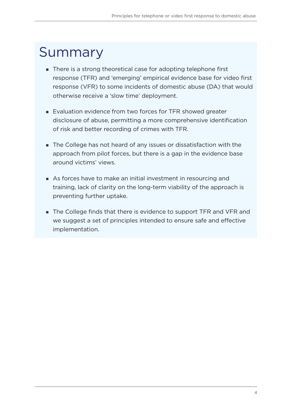#### <span id="page-3-0"></span>Summary

- There is a strong theoretical case for adopting telephone first response (TFR) and 'emerging' empirical evidence base for video first response (VFR) to some incidents of domestic abuse (DA) that would otherwise receive a 'slow time' deployment.
- Evaluation evidence from two forces for TFR showed greater disclosure of abuse, permitting a more comprehensive identification of risk and better recording of crimes with TFR.
- The College has not heard of any issues or dissatisfaction with the approach from pilot forces, but there is a gap in the evidence base around victims' views.
- As forces have to make an initial investment in resourcing and training, lack of clarity on the long-term viability of the approach is preventing further uptake.
- The College finds that there is evidence to support TFR and VFR and we suggest a set of principles intended to ensure safe and effective implementation.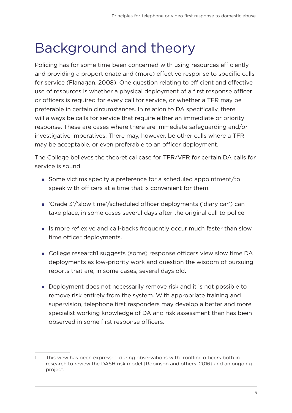#### <span id="page-4-0"></span>Background and theory

Policing has for some time been concerned with using resources efficiently and providing a proportionate and (more) effective response to specific calls for service (Flanagan, 2008). One question relating to efficient and effective use of resources is whether a physical deployment of a first response officer or officers is required for every call for service, or whether a TFR may be preferable in certain circumstances. In relation to DA specifically, there will always be calls for service that require either an immediate or priority response. These are cases where there are immediate safeguarding and/or investigative imperatives. There may, however, be other calls where a TFR may be acceptable, or even preferable to an officer deployment.

The College believes the theoretical case for TFR/VFR for certain DA calls for service is sound.

- Some victims specify a preference for a scheduled appointment/to speak with officers at a time that is convenient for them.
- 'Grade 3'/'slow time'/scheduled officer deployments ('diary car') can take place, in some cases several days after the original call to police.
- If Is more reflexive and call-backs frequently occur much faster than slow time officer deployments.
- College research1 suggests (some) response officers view slow time DA deployments as low-priority work and question the wisdom of pursuing reports that are, in some cases, several days old.
- Deployment does not necessarily remove risk and it is not possible to remove risk entirely from the system. With appropriate training and supervision, telephone first responders may develop a better and more specialist working knowledge of DA and risk assessment than has been observed in some first response officers.

<sup>1</sup> This view has been expressed during observations with frontline officers both in research to review the DASH risk model (Robinson and others, 2016) and an ongoing project.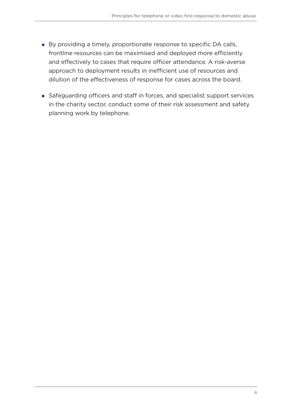- By providing a timely, proportionate response to specific DA calls, frontline resources can be maximised and deployed more efficiently and effectively to cases that require officer attendance. A risk-averse approach to deployment results in inefficient use of resources and dilution of the effectiveness of response for cases across the board.
- Safeguarding officers and staff in forces, and specialist support services in the charity sector, conduct some of their risk assessment and safety planning work by telephone.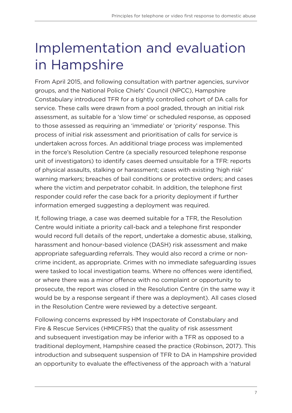## <span id="page-6-0"></span>Implementation and evaluation in Hampshire

From April 2015, and following consultation with partner agencies, survivor groups, and the National Police Chiefs' Council (NPCC), Hampshire Constabulary introduced TFR for a tightly controlled cohort of DA calls for service. These calls were drawn from a pool graded, through an initial risk assessment, as suitable for a 'slow time' or scheduled response, as opposed to those assessed as requiring an 'immediate' or 'priority' response. This process of initial risk assessment and prioritisation of calls for service is undertaken across forces. An additional triage process was implemented in the force's Resolution Centre (a specially resourced telephone response unit of investigators) to identify cases deemed unsuitable for a TFR: reports of physical assaults, stalking or harassment; cases with existing 'high risk' warning markers; breaches of bail conditions or protective orders; and cases where the victim and perpetrator cohabit. In addition, the telephone first responder could refer the case back for a priority deployment if further information emerged suggesting a deployment was required.

If, following triage, a case was deemed suitable for a TFR, the Resolution Centre would initiate a priority call-back and a telephone first responder would record full details of the report, undertake a domestic abuse, stalking, harassment and honour-based violence (DASH) risk assessment and make appropriate safeguarding referrals. They would also record a crime or noncrime incident, as appropriate. Crimes with no immediate safeguarding issues were tasked to local investigation teams. Where no offences were identified, or where there was a minor offence with no complaint or opportunity to prosecute, the report was closed in the Resolution Centre (in the same way it would be by a response sergeant if there was a deployment). All cases closed in the Resolution Centre were reviewed by a detective sergeant.

Following concerns expressed by HM Inspectorate of Constabulary and Fire & Rescue Services (HMICFRS) that the quality of risk assessment and subsequent investigation may be inferior with a TFR as opposed to a traditional deployment, Hampshire ceased the practice (Robinson, 2017). This introduction and subsequent suspension of TFR to DA in Hampshire provided an opportunity to evaluate the effectiveness of the approach with a 'natural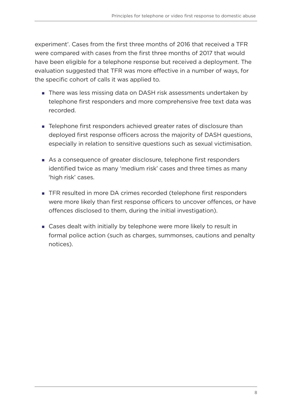experiment'. Cases from the first three months of 2016 that received a TFR were compared with cases from the first three months of 2017 that would have been eligible for a telephone response but received a deployment. The evaluation suggested that TFR was more effective in a number of ways, for the specific cohort of calls it was applied to.

- There was less missing data on DASH risk assessments undertaken by telephone first responders and more comprehensive free text data was recorded.
- **EXA** Telephone first responders achieved greater rates of disclosure than deployed first response officers across the majority of DASH questions, especially in relation to sensitive questions such as sexual victimisation.
- As a consequence of greater disclosure, telephone first responders identified twice as many 'medium risk' cases and three times as many 'high risk' cases.
- TFR resulted in more DA crimes recorded (telephone first responders were more likely than first response officers to uncover offences, or have offences disclosed to them, during the initial investigation).
- Cases dealt with initially by telephone were more likely to result in formal police action (such as charges, summonses, cautions and penalty notices).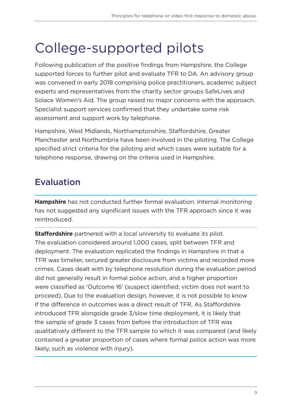### <span id="page-8-0"></span>College-supported pilots

Following publication of the positive findings from Hampshire, the College supported forces to further pilot and evaluate TFR to DA. An advisory group was convened in early 2018 comprising police practitioners, academic subject experts and representatives from the charity sector groups SafeLives and Solace Women's Aid. The group raised no major concerns with the approach. Specialist support services confirmed that they undertake some risk assessment and support work by telephone.

Hampshire, West Midlands, Northamptonshire, Staffordshire, Greater Manchester and Northumbria have been involved in the piloting. The College specified strict criteria for the piloting and which cases were suitable for a telephone response, drawing on the criteria used in Hampshire.

#### Evaluation

**Hampshire** has not conducted further formal evaluation. Internal monitoring has not suggested any significant issues with the TFR approach since it was reintroduced.

**Staffordshire** partnered with a local university to evaluate its pilot. The evaluation considered around 1,000 cases, split between TFR and deployment. The evaluation replicated the findings in Hampshire in that a TFR was timelier, secured greater disclosure from victims and recorded more crimes. Cases dealt with by telephone resolution during the evaluation period did not generally result in formal police action, and a higher proportion were classified as 'Outcome 16' (suspect identified; victim does not want to proceed). Due to the evaluation design, however, it is not possible to know if the difference in outcomes was a direct result of TFR. As Staffordshire introduced TFR alongside grade 3/slow time deployment, it is likely that the sample of grade 3 cases from before the introduction of TFR was qualitatively different to the TFR sample to which it was compared (and likely contained a greater proportion of cases where formal police action was more likely, such as violence with injury).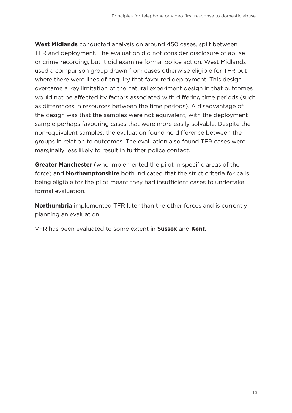**West Midlands** conducted analysis on around 450 cases, split between TFR and deployment. The evaluation did not consider disclosure of abuse or crime recording, but it did examine formal police action. West Midlands used a comparison group drawn from cases otherwise eligible for TFR but where there were lines of enquiry that favoured deployment. This design overcame a key limitation of the natural experiment design in that outcomes would not be affected by factors associated with differing time periods (such as differences in resources between the time periods). A disadvantage of the design was that the samples were not equivalent, with the deployment sample perhaps favouring cases that were more easily solvable. Despite the non-equivalent samples, the evaluation found no difference between the groups in relation to outcomes. The evaluation also found TFR cases were marginally less likely to result in further police contact.

**Greater Manchester** (who implemented the pilot in specific areas of the force) and **Northamptonshire** both indicated that the strict criteria for calls being eligible for the pilot meant they had insufficient cases to undertake formal evaluation.

**Northumbria** implemented TFR later than the other forces and is currently planning an evaluation.

VFR has been evaluated to some extent in **Sussex** and **Kent**.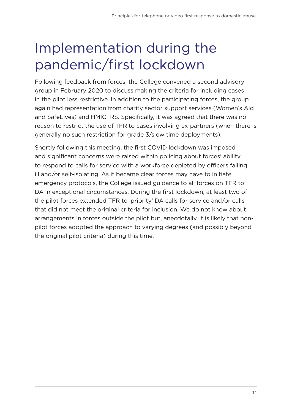## <span id="page-10-0"></span>Implementation during the pandemic/first lockdown

Following feedback from forces, the College convened a second advisory group in February 2020 to discuss making the criteria for including cases in the pilot less restrictive. In addition to the participating forces, the group again had representation from charity sector support services (Women's Aid and SafeLives) and HMICFRS. Specifically, it was agreed that there was no reason to restrict the use of TFR to cases involving ex-partners (when there is generally no such restriction for grade 3/slow time deployments).

Shortly following this meeting, the first COVID lockdown was imposed and significant concerns were raised within policing about forces' ability to respond to calls for service with a workforce depleted by officers falling ill and/or self-isolating. As it became clear forces may have to initiate emergency protocols, the College issued guidance to all forces on TFR to DA in exceptional circumstances. During the first lockdown, at least two of the pilot forces extended TFR to 'priority' DA calls for service and/or calls that did not meet the original criteria for inclusion. We do not know about arrangements in forces outside the pilot but, anecdotally, it is likely that nonpilot forces adopted the approach to varying degrees (and possibly beyond the original pilot criteria) during this time.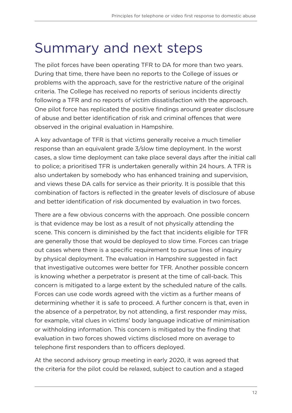#### <span id="page-11-0"></span>Summary and next steps

The pilot forces have been operating TFR to DA for more than two years. During that time, there have been no reports to the College of issues or problems with the approach, save for the restrictive nature of the original criteria. The College has received no reports of serious incidents directly following a TFR and no reports of victim dissatisfaction with the approach. One pilot force has replicated the positive findings around greater disclosure of abuse and better identification of risk and criminal offences that were observed in the original evaluation in Hampshire.

A key advantage of TFR is that victims generally receive a much timelier response than an equivalent grade 3/slow time deployment. In the worst cases, a slow time deployment can take place several days after the initial call to police; a prioritised TFR is undertaken generally within 24 hours. A TFR is also undertaken by somebody who has enhanced training and supervision, and views these DA calls for service as their priority. It is possible that this combination of factors is reflected in the greater levels of disclosure of abuse and better identification of risk documented by evaluation in two forces.

There are a few obvious concerns with the approach. One possible concern is that evidence may be lost as a result of not physically attending the scene. This concern is diminished by the fact that incidents eligible for TFR are generally those that would be deployed to slow time. Forces can triage out cases where there is a specific requirement to pursue lines of inquiry by physical deployment. The evaluation in Hampshire suggested in fact that investigative outcomes were better for TFR. Another possible concern is knowing whether a perpetrator is present at the time of call-back. This concern is mitigated to a large extent by the scheduled nature of the calls. Forces can use code words agreed with the victim as a further means of determining whether it is safe to proceed. A further concern is that, even in the absence of a perpetrator, by not attending, a first responder may miss, for example, vital clues in victims' body language indicative of minimisation or withholding information. This concern is mitigated by the finding that evaluation in two forces showed victims disclosed more on average to telephone first responders than to officers deployed.

At the second advisory group meeting in early 2020, it was agreed that the criteria for the pilot could be relaxed, subject to caution and a staged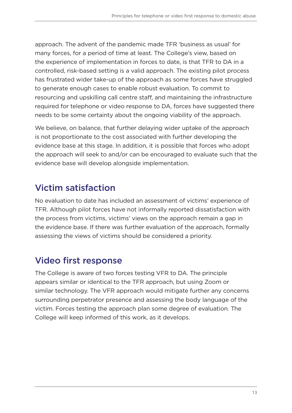<span id="page-12-0"></span>approach. The advent of the pandemic made TFR 'business as usual' for many forces, for a period of time at least. The College's view, based on the experience of implementation in forces to date, is that TFR to DA in a controlled, risk-based setting is a valid approach. The existing pilot process has frustrated wider take-up of the approach as some forces have struggled to generate enough cases to enable robust evaluation. To commit to resourcing and upskilling call centre staff, and maintaining the infrastructure required for telephone or video response to DA, forces have suggested there needs to be some certainty about the ongoing viability of the approach.

We believe, on balance, that further delaying wider uptake of the approach is not proportionate to the cost associated with further developing the evidence base at this stage. In addition, it is possible that forces who adopt the approach will seek to and/or can be encouraged to evaluate such that the evidence base will develop alongside implementation.

#### Victim satisfaction

No evaluation to date has included an assessment of victims' experience of TFR. Although pilot forces have not informally reported dissatisfaction with the process from victims, victims' views on the approach remain a gap in the evidence base. If there was further evaluation of the approach, formally assessing the views of victims should be considered a priority.

#### Video first response

The College is aware of two forces testing VFR to DA. The principle appears similar or identical to the TFR approach, but using Zoom or similar technology. The VFR approach would mitigate further any concerns surrounding perpetrator presence and assessing the body language of the victim. Forces testing the approach plan some degree of evaluation. The College will keep informed of this work, as it develops.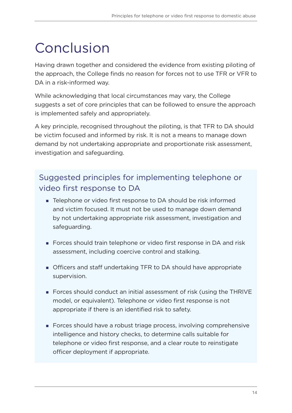### <span id="page-13-0"></span>Conclusion

Having drawn together and considered the evidence from existing piloting of the approach, the College finds no reason for forces not to use TFR or VFR to DA in a risk-informed way.

While acknowledging that local circumstances may vary, the College suggests a set of core principles that can be followed to ensure the approach is implemented safely and appropriately.

A key principle, recognised throughout the piloting, is that TFR to DA should be victim focused and informed by risk. It is not a means to manage down demand by not undertaking appropriate and proportionate risk assessment, investigation and safeguarding.

#### Suggested principles for implementing telephone or video first response to DA

- Telephone or video first response to DA should be risk informed and victim focused. It must not be used to manage down demand by not undertaking appropriate risk assessment, investigation and safeguarding.
- Forces should train telephone or video first response in DA and risk assessment, including coercive control and stalking.
- Officers and staff undertaking TFR to DA should have appropriate supervision.
- Forces should conduct an initial assessment of risk (using the THRIVE model, or equivalent). Telephone or video first response is not appropriate if there is an identified risk to safety.
- Forces should have a robust triage process, involving comprehensive intelligence and history checks, to determine calls suitable for telephone or video first response, and a clear route to reinstigate officer deployment if appropriate.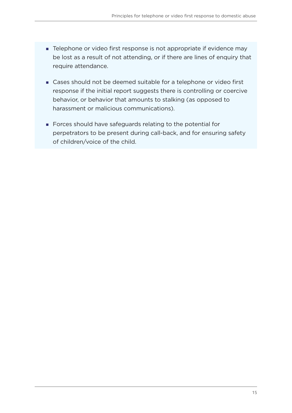- **F** Telephone or video first response is not appropriate if evidence may be lost as a result of not attending, or if there are lines of enquiry that require attendance.
- Cases should not be deemed suitable for a telephone or video first response if the initial report suggests there is controlling or coercive behavior, or behavior that amounts to stalking (as opposed to harassment or malicious communications).
- Forces should have safeguards relating to the potential for perpetrators to be present during call-back, and for ensuring safety of children/voice of the child.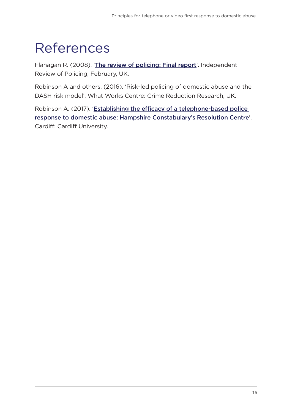# <span id="page-15-0"></span>References

Flanagan R. (2008). '[The review of policing: Final report](https://www.justiceinspectorates.gov.uk/hmicfrs/media/flanagan-review-of-policing-20080201.pdf)'. Independent Review of Policing, February, UK.

Robinson A and others. (2016). 'Risk-led policing of domestic abuse and the DASH risk model'. What Works Centre: Crime Reduction Research, UK.

Robinson A. (2017). 'Establishing the efficacy of a telephone-based police [response to domestic abuse: Hampshire Constabulary's Resolution Centre](https://orca.cardiff.ac.uk/107133/)'. Cardiff: Cardiff University.